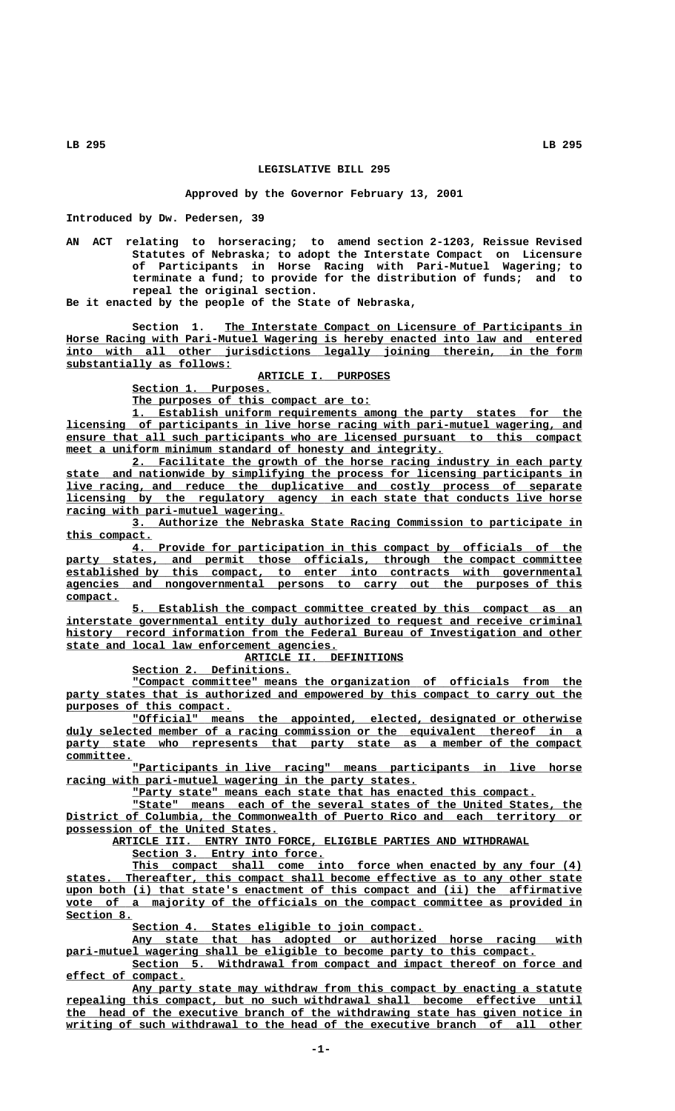## **LEGISLATIVE BILL 295**

## **Approved by the Governor February 13, 2001**

**Introduced by Dw. Pedersen, 39**

**AN ACT relating to horseracing; to amend section 2-1203, Reissue Revised Statutes of Nebraska; to adopt the Interstate Compact on Licensure of Participants in Horse Racing with Pari-Mutuel Wagering; to terminate a fund; to provide for the distribution of funds; and to repeal the original section.**

**Be it enacted by the people of the State of Nebraska,**

Section 1. The Interstate Compact on Licensure of Participants in  **\_\_\_\_\_\_\_\_\_\_\_\_\_\_\_\_\_\_\_\_\_\_\_\_\_\_\_\_\_\_\_\_\_\_\_\_\_\_\_\_\_\_\_\_\_\_\_\_\_\_\_\_\_\_\_\_\_\_\_\_\_\_\_\_\_\_\_\_\_\_\_\_\_\_\_\_\_\_ Horse Racing with Pari-Mutuel Wagering is hereby enacted into law and entered** into with all other jurisdictions legally joining therein, in the form  **\_\_\_\_\_\_\_\_\_\_\_\_\_\_\_\_\_\_\_\_\_\_\_\_\_ substantially as follows:**

 **ARTICLE I. PURPOSES \_\_\_\_\_\_\_\_\_\_\_\_\_\_\_\_\_\_\_\_**

Section 1. Purposes.

 **\_\_\_\_\_\_\_\_\_\_\_\_\_\_\_\_\_\_\_\_\_\_\_\_\_\_\_\_\_\_\_\_\_\_\_\_ The purposes of this compact are to:**

 **\_\_\_\_\_\_\_\_\_\_\_\_\_\_\_\_\_\_\_\_\_\_\_\_\_\_\_\_\_\_\_\_\_\_\_\_\_\_\_\_\_\_\_\_\_\_\_\_\_\_\_\_\_\_\_\_\_\_\_\_\_\_\_\_\_\_\_\_ 1. Establish uniform requirements among the party states for the \_\_\_\_\_\_\_\_\_\_\_\_\_\_\_\_\_\_\_\_\_\_\_\_\_\_\_\_\_\_\_\_\_\_\_\_\_\_\_\_\_\_\_\_\_\_\_\_\_\_\_\_\_\_\_\_\_\_\_\_\_\_\_\_\_\_\_\_\_\_\_\_\_\_\_\_\_\_ licensing of participants in live horse racing with pari-mutuel wagering, and \_\_\_\_\_\_\_\_\_\_\_\_\_\_\_\_\_\_\_\_\_\_\_\_\_\_\_\_\_\_\_\_\_\_\_\_\_\_\_\_\_\_\_\_\_\_\_\_\_\_\_\_\_\_\_\_\_\_\_\_\_\_\_\_\_\_\_\_\_\_\_\_\_\_\_\_\_\_ ensure that all such participants who are licensed pursuant to this compact**  $meet$  a uniform minimum standard of honesty and integrity.

 **\_\_\_\_\_\_\_\_\_\_\_\_\_\_\_\_\_\_\_\_\_\_\_\_\_\_\_\_\_\_\_\_\_\_\_\_\_\_\_\_\_\_\_\_\_\_\_\_\_\_\_\_\_\_\_\_\_\_\_\_\_\_\_\_\_\_\_\_ 2. Facilitate the growth of the horse racing industry in each party \_\_\_\_\_\_\_\_\_\_\_\_\_\_\_\_\_\_\_\_\_\_\_\_\_\_\_\_\_\_\_\_\_\_\_\_\_\_\_\_\_\_\_\_\_\_\_\_\_\_\_\_\_\_\_\_\_\_\_\_\_\_\_\_\_\_\_\_\_\_\_\_\_\_\_\_\_\_ state and nationwide by simplifying the process for licensing participants in \_\_\_\_\_\_\_\_\_\_\_\_\_\_\_\_\_\_\_\_\_\_\_\_\_\_\_\_\_\_\_\_\_\_\_\_\_\_\_\_\_\_\_\_\_\_\_\_\_\_\_\_\_\_\_\_\_\_\_\_\_\_\_\_\_\_\_\_\_\_\_\_\_\_\_\_\_\_ live racing, and reduce the duplicative and costly process of separate \_\_\_\_\_\_\_\_\_\_\_\_\_\_\_\_\_\_\_\_\_\_\_\_\_\_\_\_\_\_\_\_\_\_\_\_\_\_\_\_\_\_\_\_\_\_\_\_\_\_\_\_\_\_\_\_\_\_\_\_\_\_\_\_\_\_\_\_\_\_\_\_\_\_\_\_\_\_ licensing by the regulatory agency in each state that conducts live horse \_\_\_\_\_\_\_\_\_\_\_\_\_\_\_\_\_\_\_\_\_\_\_\_\_\_\_\_\_\_\_\_\_ racing with pari-mutuel wagering.**

 **\_\_\_\_\_\_\_\_\_\_\_\_\_\_\_\_\_\_\_\_\_\_\_\_\_\_\_\_\_\_\_\_\_\_\_\_\_\_\_\_\_\_\_\_\_\_\_\_\_\_\_\_\_\_\_\_\_\_\_\_\_\_\_\_\_\_\_\_ 3. Authorize the Nebraska State Racing Commission to participate in this compact. \_\_\_\_\_\_\_\_\_\_\_\_\_**

 **\_\_\_\_\_\_\_\_\_\_\_\_\_\_\_\_\_\_\_\_\_\_\_\_\_\_\_\_\_\_\_\_\_\_\_\_\_\_\_\_\_\_\_\_\_\_\_\_\_\_\_\_\_\_\_\_\_\_\_\_\_\_\_\_\_\_\_\_ 4. Provide for participation in this compact by officials of the** party states, and permit those officials, through the compact committee  $established by this compact, to enter into contracts with governed by$  **\_\_\_\_\_\_\_\_\_\_\_\_\_\_\_\_\_\_\_\_\_\_\_\_\_\_\_\_\_\_\_\_\_\_\_\_\_\_\_\_\_\_\_\_\_\_\_\_\_\_\_\_\_\_\_\_\_\_\_\_\_\_\_\_\_\_\_\_\_\_\_\_\_\_\_\_\_\_ agencies and nongovernmental persons to carry out the purposes of this compact. \_\_\_\_\_\_\_\_**

 **\_\_\_\_\_\_\_\_\_\_\_\_\_\_\_\_\_\_\_\_\_\_\_\_\_\_\_\_\_\_\_\_\_\_\_\_\_\_\_\_\_\_\_\_\_\_\_\_\_\_\_\_\_\_\_\_\_\_\_\_\_\_\_\_\_\_\_\_ 5. Establish the compact committee created by this compact as an \_\_\_\_\_\_\_\_\_\_\_\_\_\_\_\_\_\_\_\_\_\_\_\_\_\_\_\_\_\_\_\_\_\_\_\_\_\_\_\_\_\_\_\_\_\_\_\_\_\_\_\_\_\_\_\_\_\_\_\_\_\_\_\_\_\_\_\_\_\_\_\_\_\_\_\_\_\_ interstate governmental entity duly authorized to request and receive criminal \_\_\_\_\_\_\_\_\_\_\_\_\_\_\_\_\_\_\_\_\_\_\_\_\_\_\_\_\_\_\_\_\_\_\_\_\_\_\_\_\_\_\_\_\_\_\_\_\_\_\_\_\_\_\_\_\_\_\_\_\_\_\_\_\_\_\_\_\_\_\_\_\_\_\_\_\_\_ history record information from the Federal Bureau of Investigation and other \_\_\_\_\_\_\_\_\_\_\_\_\_\_\_\_\_\_\_\_\_\_\_\_\_\_\_\_\_\_\_\_\_\_\_\_\_\_\_\_\_ state and local law enforcement agencies.**

 **ARTICLE II. DEFINITIONS \_\_\_\_\_\_\_\_\_\_\_\_\_\_\_\_\_\_\_\_\_\_\_\_**

Section 2. Definitions.

 **\_\_\_\_\_\_\_\_\_\_\_\_\_\_\_\_\_\_\_\_\_\_\_\_\_\_\_\_\_\_\_\_\_\_\_\_\_\_\_\_\_\_\_\_\_\_\_\_\_\_\_\_\_\_\_\_\_\_\_\_\_\_\_\_\_\_\_\_ "Compact committee" means the organization of officials from the** party states that is authorized and empowered by this compact to carry out the  **\_\_\_\_\_\_\_\_\_\_\_\_\_\_\_\_\_\_\_\_\_\_\_\_\_ purposes of this compact.**

 **\_\_\_\_\_\_\_\_\_\_\_\_\_\_\_\_\_\_\_\_\_\_\_\_\_\_\_\_\_\_\_\_\_\_\_\_\_\_\_\_\_\_\_\_\_\_\_\_\_\_\_\_\_\_\_\_\_\_\_\_\_\_\_\_\_\_\_\_ "Official" means the appointed, elected, designated or otherwise \_\_\_\_\_\_\_\_\_\_\_\_\_\_\_\_\_\_\_\_\_\_\_\_\_\_\_\_\_\_\_\_\_\_\_\_\_\_\_\_\_\_\_\_\_\_\_\_\_\_\_\_\_\_\_\_\_\_\_\_\_\_\_\_\_\_\_\_\_\_\_\_\_\_\_\_\_\_ duly selected member of a racing commission or the equivalent thereof in a** party state who represents that party state as a member of the compact  **committee. \_\_\_\_\_\_\_\_\_\_**

 $'$  Participants in live racing" means participants in live horse  $rac{rac{1}{2}}{rac{1}{2}}$  with pari-mutuel wagering in the party states.

"Party state" means each state that has enacted this compact.

 **\_\_\_\_\_\_\_\_\_\_\_\_\_\_\_\_\_\_\_\_\_\_\_\_\_\_\_\_\_\_\_\_\_\_\_\_\_\_\_\_\_\_\_\_\_\_\_\_\_\_\_\_\_\_\_\_\_\_\_\_\_\_\_\_\_\_\_\_ "State" means each of the several states of the United States, the \_\_\_\_\_\_\_\_\_\_\_\_\_\_\_\_\_\_\_\_\_\_\_\_\_\_\_\_\_\_\_\_\_\_\_\_\_\_\_\_\_\_\_\_\_\_\_\_\_\_\_\_\_\_\_\_\_\_\_\_\_\_\_\_\_\_\_\_\_\_\_\_\_\_\_\_\_\_ District of Columbia, the Commonwealth of Puerto Rico and each territory or \_\_\_\_\_\_\_\_\_\_\_\_\_\_\_\_\_\_\_\_\_\_\_\_\_\_\_\_\_\_\_\_ possession of the United States.**

 **\_\_\_\_\_\_\_\_\_\_\_\_\_\_\_\_\_\_\_\_\_\_\_\_\_\_\_\_\_\_\_\_\_\_\_\_\_\_\_\_\_\_\_\_\_\_\_\_\_\_\_\_\_\_\_\_\_\_\_\_\_\_\_ ARTICLE III. ENTRY INTO FORCE, ELIGIBLE PARTIES AND WITHDRAWAL**

 **\_\_\_\_\_\_\_\_\_\_\_\_\_\_\_\_\_\_\_\_\_\_\_\_\_\_\_\_\_ Section 3. Entry into force.**

This compact shall come into force when enacted by any four (4)  **\_\_\_\_\_\_\_\_\_\_\_\_\_\_\_\_\_\_\_\_\_\_\_\_\_\_\_\_\_\_\_\_\_\_\_\_\_\_\_\_\_\_\_\_\_\_\_\_\_\_\_\_\_\_\_\_\_\_\_\_\_\_\_\_\_\_\_\_\_\_\_\_\_\_\_\_\_\_ states. Thereafter, this compact shall become effective as to any other state**  $\text{upon both (i) that state's enactment of this compact and (ii) the affirmative}$ vote of a majority of the officials on the compact committee as provided in  **Section 8. \_\_\_\_\_\_\_\_\_\_**

 **\_\_\_\_\_\_\_\_\_\_\_\_\_\_\_\_\_\_\_\_\_\_\_\_\_\_\_\_\_\_\_\_\_\_\_\_\_\_\_\_\_\_\_\_ Section 4. States eligible to join compact.**

 **\_\_\_\_\_\_\_\_\_\_\_\_\_\_\_\_\_\_\_\_\_\_\_\_\_\_\_\_\_\_\_\_\_\_\_\_\_\_\_\_\_\_\_\_\_\_\_\_\_\_\_\_\_\_\_\_\_\_\_\_\_\_\_\_\_\_\_\_ Any state that has adopted or authorized horse racing with** pari-mutuel wagering shall be eligible to become party to this compact.

 **\_\_\_\_\_\_\_\_\_\_\_\_\_\_\_\_\_\_\_\_\_\_\_\_\_\_\_\_\_\_\_\_\_\_\_\_\_\_\_\_\_\_\_\_\_\_\_\_\_\_\_\_\_\_\_\_\_\_\_\_\_\_\_\_\_\_\_\_ Section 5. Withdrawal from compact and impact thereof on force and \_\_\_\_\_\_\_\_\_\_\_\_\_\_\_\_\_\_ effect of compact.**

Any party state may withdraw from this compact by enacting a statute  **\_\_\_\_\_\_\_\_\_\_\_\_\_\_\_\_\_\_\_\_\_\_\_\_\_\_\_\_\_\_\_\_\_\_\_\_\_\_\_\_\_\_\_\_\_\_\_\_\_\_\_\_\_\_\_\_\_\_\_\_\_\_\_\_\_\_\_\_\_\_\_\_\_\_\_\_\_\_ repealing this compact, but no such withdrawal shall become effective until \_\_\_\_\_\_\_\_\_\_\_\_\_\_\_\_\_\_\_\_\_\_\_\_\_\_\_\_\_\_\_\_\_\_\_\_\_\_\_\_\_\_\_\_\_\_\_\_\_\_\_\_\_\_\_\_\_\_\_\_\_\_\_\_\_\_\_\_\_\_\_\_\_\_\_\_\_\_ the head of the executive branch of the withdrawing state has given notice in** writing of such withdrawal to the head of the executive branch of all other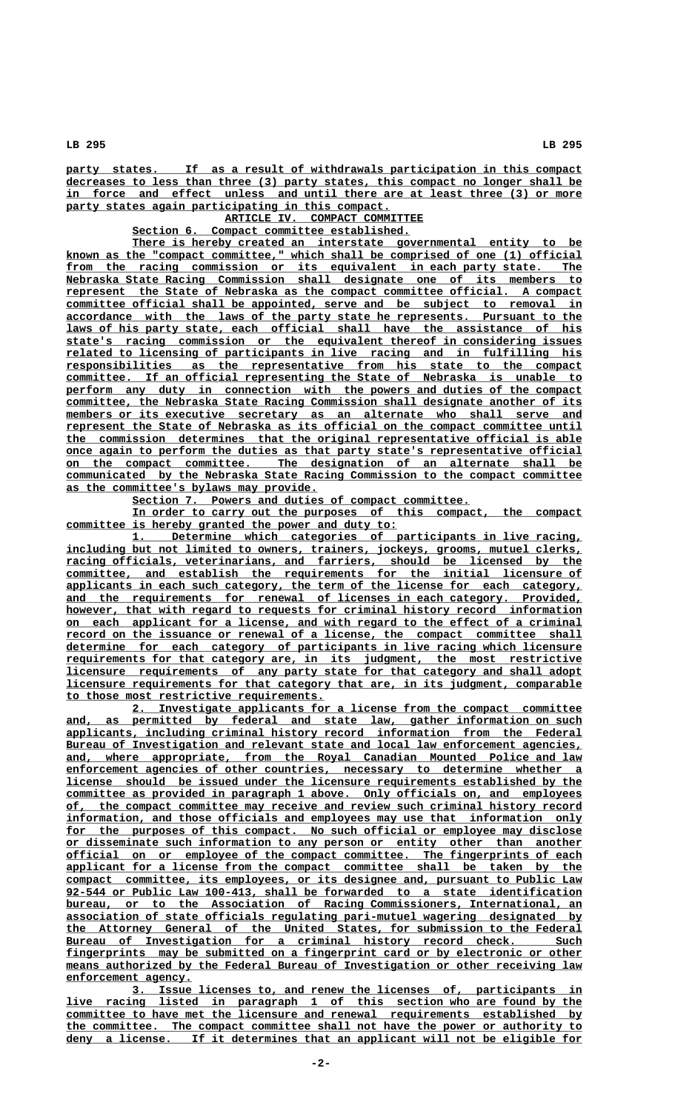party states. If as a result of withdrawals participation in this compact  **\_\_\_\_\_\_\_\_\_\_\_\_\_\_\_\_\_\_\_\_\_\_\_\_\_\_\_\_\_\_\_\_\_\_\_\_\_\_\_\_\_\_\_\_\_\_\_\_\_\_\_\_\_\_\_\_\_\_\_\_\_\_\_\_\_\_\_\_\_\_\_\_\_\_\_\_\_\_ decreases to less than three (3) party states, this compact no longer shall be** in force and effect unless and until there are at least three (3) or more party states again participating in this compact.

**ARTICLE IV. COMPACT COMMITTEE** 

 **\_\_\_\_\_\_\_\_\_\_\_\_\_\_\_\_\_\_\_\_\_\_\_\_\_\_\_\_\_\_\_\_\_\_\_\_\_\_\_\_\_\_ Section 6. Compact committee established.**

There is hereby created an interstate governmental entity to be  **\_\_\_\_\_\_\_\_\_\_\_\_\_\_\_\_\_\_\_\_\_\_\_\_\_\_\_\_\_\_\_\_\_\_\_\_\_\_\_\_\_\_\_\_\_\_\_\_\_\_\_\_\_\_\_\_\_\_\_\_\_\_\_\_\_\_\_\_\_\_\_\_\_\_\_\_\_\_ known as the "compact committee," which shall be comprised of one (1) official** from the racing commission or its equivalent in each party state. The  **\_\_\_\_\_\_\_\_\_\_\_\_\_\_\_\_\_\_\_\_\_\_\_\_\_\_\_\_\_\_\_\_\_\_\_\_\_\_\_\_\_\_\_\_\_\_\_\_\_\_\_\_\_\_\_\_\_\_\_\_\_\_\_\_\_\_\_\_\_\_\_\_\_\_\_\_\_\_ Nebraska State Racing Commission shall designate one of its members to \_\_\_\_\_\_\_\_\_\_\_\_\_\_\_\_\_\_\_\_\_\_\_\_\_\_\_\_\_\_\_\_\_\_\_\_\_\_\_\_\_\_\_\_\_\_\_\_\_\_\_\_\_\_\_\_\_\_\_\_\_\_\_\_\_\_\_\_\_\_\_\_\_\_\_\_\_\_ represent the State of Nebraska as the compact committee official. A compact \_\_\_\_\_\_\_\_\_\_\_\_\_\_\_\_\_\_\_\_\_\_\_\_\_\_\_\_\_\_\_\_\_\_\_\_\_\_\_\_\_\_\_\_\_\_\_\_\_\_\_\_\_\_\_\_\_\_\_\_\_\_\_\_\_\_\_\_\_\_\_\_\_\_\_\_\_\_ committee official shall be appointed, serve and be subject to removal in \_\_\_\_\_\_\_\_\_\_\_\_\_\_\_\_\_\_\_\_\_\_\_\_\_\_\_\_\_\_\_\_\_\_\_\_\_\_\_\_\_\_\_\_\_\_\_\_\_\_\_\_\_\_\_\_\_\_\_\_\_\_\_\_\_\_\_\_\_\_\_\_\_\_\_\_\_\_ accordance with the laws of the party state he represents. Pursuant to the \_\_\_\_\_\_\_\_\_\_\_\_\_\_\_\_\_\_\_\_\_\_\_\_\_\_\_\_\_\_\_\_\_\_\_\_\_\_\_\_\_\_\_\_\_\_\_\_\_\_\_\_\_\_\_\_\_\_\_\_\_\_\_\_\_\_\_\_\_\_\_\_\_\_\_\_\_\_ laws of his party state, each official shall have the assistance of his \_\_\_\_\_\_\_\_\_\_\_\_\_\_\_\_\_\_\_\_\_\_\_\_\_\_\_\_\_\_\_\_\_\_\_\_\_\_\_\_\_\_\_\_\_\_\_\_\_\_\_\_\_\_\_\_\_\_\_\_\_\_\_\_\_\_\_\_\_\_\_\_\_\_\_\_\_\_ state's racing commission or the equivalent thereof in considering issues \_\_\_\_\_\_\_\_\_\_\_\_\_\_\_\_\_\_\_\_\_\_\_\_\_\_\_\_\_\_\_\_\_\_\_\_\_\_\_\_\_\_\_\_\_\_\_\_\_\_\_\_\_\_\_\_\_\_\_\_\_\_\_\_\_\_\_\_\_\_\_\_\_\_\_\_\_\_ related to licensing of participants in live racing and in fulfilling his \_\_\_\_\_\_\_\_\_\_\_\_\_\_\_\_\_\_\_\_\_\_\_\_\_\_\_\_\_\_\_\_\_\_\_\_\_\_\_\_\_\_\_\_\_\_\_\_\_\_\_\_\_\_\_\_\_\_\_\_\_\_\_\_\_\_\_\_\_\_\_\_\_\_\_\_\_\_ responsibilities as the representative from his state to the compact \_\_\_\_\_\_\_\_\_\_\_\_\_\_\_\_\_\_\_\_\_\_\_\_\_\_\_\_\_\_\_\_\_\_\_\_\_\_\_\_\_\_\_\_\_\_\_\_\_\_\_\_\_\_\_\_\_\_\_\_\_\_\_\_\_\_\_\_\_\_\_\_\_\_\_\_\_\_ committee. If an official representing the State of Nebraska is unable to** perform any duty in connection with the powers and duties of the compact  **\_\_\_\_\_\_\_\_\_\_\_\_\_\_\_\_\_\_\_\_\_\_\_\_\_\_\_\_\_\_\_\_\_\_\_\_\_\_\_\_\_\_\_\_\_\_\_\_\_\_\_\_\_\_\_\_\_\_\_\_\_\_\_\_\_\_\_\_\_\_\_\_\_\_\_\_\_\_ committee, the Nebraska State Racing Commission shall designate another of its**  $members or its executive secretary as an alternate who shall serve and$ </u>  **\_\_\_\_\_\_\_\_\_\_\_\_\_\_\_\_\_\_\_\_\_\_\_\_\_\_\_\_\_\_\_\_\_\_\_\_\_\_\_\_\_\_\_\_\_\_\_\_\_\_\_\_\_\_\_\_\_\_\_\_\_\_\_\_\_\_\_\_\_\_\_\_\_\_\_\_\_\_ represent the State of Nebraska as its official on the compact committee until \_\_\_\_\_\_\_\_\_\_\_\_\_\_\_\_\_\_\_\_\_\_\_\_\_\_\_\_\_\_\_\_\_\_\_\_\_\_\_\_\_\_\_\_\_\_\_\_\_\_\_\_\_\_\_\_\_\_\_\_\_\_\_\_\_\_\_\_\_\_\_\_\_\_\_\_\_\_ the commission determines that the original representative official is able \_\_\_\_\_\_\_\_\_\_\_\_\_\_\_\_\_\_\_\_\_\_\_\_\_\_\_\_\_\_\_\_\_\_\_\_\_\_\_\_\_\_\_\_\_\_\_\_\_\_\_\_\_\_\_\_\_\_\_\_\_\_\_\_\_\_\_\_\_\_\_\_\_\_\_\_\_\_ once again to perform the duties as that party state's representative official \_\_\_\_\_\_\_\_\_\_\_\_\_\_\_\_\_\_\_\_\_\_\_\_\_\_\_\_\_\_\_\_\_\_\_\_\_\_\_\_\_\_\_\_\_\_\_\_\_\_\_\_\_\_\_\_\_\_\_\_\_\_\_\_\_\_\_\_\_\_\_\_\_\_\_\_\_\_ on the compact committee. The designation of an alternate shall be \_\_\_\_\_\_\_\_\_\_\_\_\_\_\_\_\_\_\_\_\_\_\_\_\_\_\_\_\_\_\_\_\_\_\_\_\_\_\_\_\_\_\_\_\_\_\_\_\_\_\_\_\_\_\_\_\_\_\_\_\_\_\_\_\_\_\_\_\_\_\_\_\_\_\_\_\_\_ communicated by the Nebraska State Racing Commission to the compact committee \_\_\_\_\_\_\_\_\_\_\_\_\_\_\_\_\_\_\_\_\_\_\_\_\_\_\_\_\_\_\_\_\_\_\_\_\_\_ as the committee's bylaws may provide.**

 **\_\_\_\_\_\_\_\_\_\_\_\_\_\_\_\_\_\_\_\_\_\_\_\_\_\_\_\_\_\_\_\_\_\_\_\_\_\_\_\_\_\_\_\_\_\_\_\_\_\_\_ Section 7. Powers and duties of compact committee.**

In order to carry out the purposes of this compact, the compact committee is hereby granted the power and duty to:

 **\_\_\_\_\_\_\_\_\_\_\_\_\_\_\_\_\_\_\_\_\_\_\_\_\_\_\_\_\_\_\_\_\_\_\_\_\_\_\_\_\_\_\_\_\_\_\_\_\_\_\_\_\_\_\_\_\_\_\_\_\_\_\_\_\_\_\_\_ 1. Determine which categories of participants in live racing, \_\_\_\_\_\_\_\_\_\_\_\_\_\_\_\_\_\_\_\_\_\_\_\_\_\_\_\_\_\_\_\_\_\_\_\_\_\_\_\_\_\_\_\_\_\_\_\_\_\_\_\_\_\_\_\_\_\_\_\_\_\_\_\_\_\_\_\_\_\_\_\_\_\_\_\_\_\_ including but not limited to owners, trainers, jockeys, grooms, mutuel clerks, \_\_\_\_\_\_\_\_\_\_\_\_\_\_\_\_\_\_\_\_\_\_\_\_\_\_\_\_\_\_\_\_\_\_\_\_\_\_\_\_\_\_\_\_\_\_\_\_\_\_\_\_\_\_\_\_\_\_\_\_\_\_\_\_\_\_\_\_\_\_\_\_\_\_\_\_\_\_ racing officials, veterinarians, and farriers, should be licensed by the \_\_\_\_\_\_\_\_\_\_\_\_\_\_\_\_\_\_\_\_\_\_\_\_\_\_\_\_\_\_\_\_\_\_\_\_\_\_\_\_\_\_\_\_\_\_\_\_\_\_\_\_\_\_\_\_\_\_\_\_\_\_\_\_\_\_\_\_\_\_\_\_\_\_\_\_\_\_ committee, and establish the requirements for the initial licensure of \_\_\_\_\_\_\_\_\_\_\_\_\_\_\_\_\_\_\_\_\_\_\_\_\_\_\_\_\_\_\_\_\_\_\_\_\_\_\_\_\_\_\_\_\_\_\_\_\_\_\_\_\_\_\_\_\_\_\_\_\_\_\_\_\_\_\_\_\_\_\_\_\_\_\_\_\_\_ applicants in each such category, the term of the license for each category,** and the requirements for renewal of licenses in each category. Provided, however, that with regard to requests for criminal history record information  **\_\_\_\_\_\_\_\_\_\_\_\_\_\_\_\_\_\_\_\_\_\_\_\_\_\_\_\_\_\_\_\_\_\_\_\_\_\_\_\_\_\_\_\_\_\_\_\_\_\_\_\_\_\_\_\_\_\_\_\_\_\_\_\_\_\_\_\_\_\_\_\_\_\_\_\_\_\_ on each applicant for a license, and with regard to the effect of a criminal** record on the issuance or renewal of a license, the compact committee shall  **\_\_\_\_\_\_\_\_\_\_\_\_\_\_\_\_\_\_\_\_\_\_\_\_\_\_\_\_\_\_\_\_\_\_\_\_\_\_\_\_\_\_\_\_\_\_\_\_\_\_\_\_\_\_\_\_\_\_\_\_\_\_\_\_\_\_\_\_\_\_\_\_\_\_\_\_\_\_ determine for each category of participants in live racing which licensure \_\_\_\_\_\_\_\_\_\_\_\_\_\_\_\_\_\_\_\_\_\_\_\_\_\_\_\_\_\_\_\_\_\_\_\_\_\_\_\_\_\_\_\_\_\_\_\_\_\_\_\_\_\_\_\_\_\_\_\_\_\_\_\_\_\_\_\_\_\_\_\_\_\_\_\_\_\_ requirements for that category are, in its judgment, the most restrictive \_\_\_\_\_\_\_\_\_\_\_\_\_\_\_\_\_\_\_\_\_\_\_\_\_\_\_\_\_\_\_\_\_\_\_\_\_\_\_\_\_\_\_\_\_\_\_\_\_\_\_\_\_\_\_\_\_\_\_\_\_\_\_\_\_\_\_\_\_\_\_\_\_\_\_\_\_\_ licensure requirements of any party state for that category and shall adopt \_\_\_\_\_\_\_\_\_\_\_\_\_\_\_\_\_\_\_\_\_\_\_\_\_\_\_\_\_\_\_\_\_\_\_\_\_\_\_\_\_\_\_\_\_\_\_\_\_\_\_\_\_\_\_\_\_\_\_\_\_\_\_\_\_\_\_\_\_\_\_\_\_\_\_\_\_\_ licensure requirements for that category that are, in its judgment, comparable \_\_\_\_\_\_\_\_\_\_\_\_\_\_\_\_\_\_\_\_\_\_\_\_\_\_\_\_\_\_\_\_\_\_\_\_\_\_\_ to those most restrictive requirements.**

 **\_\_\_\_\_\_\_\_\_\_\_\_\_\_\_\_\_\_\_\_\_\_\_\_\_\_\_\_\_\_\_\_\_\_\_\_\_\_\_\_\_\_\_\_\_\_\_\_\_\_\_\_\_\_\_\_\_\_\_\_\_\_\_\_\_\_\_\_ 2. Investigate applicants for a license from the compact committee \_\_\_\_\_\_\_\_\_\_\_\_\_\_\_\_\_\_\_\_\_\_\_\_\_\_\_\_\_\_\_\_\_\_\_\_\_\_\_\_\_\_\_\_\_\_\_\_\_\_\_\_\_\_\_\_\_\_\_\_\_\_\_\_\_\_\_\_\_\_\_\_\_\_\_\_\_\_ and, as permitted by federal and state law, gather information on such \_\_\_\_\_\_\_\_\_\_\_\_\_\_\_\_\_\_\_\_\_\_\_\_\_\_\_\_\_\_\_\_\_\_\_\_\_\_\_\_\_\_\_\_\_\_\_\_\_\_\_\_\_\_\_\_\_\_\_\_\_\_\_\_\_\_\_\_\_\_\_\_\_\_\_\_\_\_ applicants, including criminal history record information from the Federal** Bureau of Investigation and relevant state and local law enforcement agencies,  **\_\_\_\_\_\_\_\_\_\_\_\_\_\_\_\_\_\_\_\_\_\_\_\_\_\_\_\_\_\_\_\_\_\_\_\_\_\_\_\_\_\_\_\_\_\_\_\_\_\_\_\_\_\_\_\_\_\_\_\_\_\_\_\_\_\_\_\_\_\_\_\_\_\_\_\_\_\_ and, where appropriate, from the Royal Canadian Mounted Police and law \_\_\_\_\_\_\_\_\_\_\_\_\_\_\_\_\_\_\_\_\_\_\_\_\_\_\_\_\_\_\_\_\_\_\_\_\_\_\_\_\_\_\_\_\_\_\_\_\_\_\_\_\_\_\_\_\_\_\_\_\_\_\_\_\_\_\_\_\_\_\_\_\_\_\_\_\_\_ enforcement agencies of other countries, necessary to determine whether a \_\_\_\_\_\_\_\_\_\_\_\_\_\_\_\_\_\_\_\_\_\_\_\_\_\_\_\_\_\_\_\_\_\_\_\_\_\_\_\_\_\_\_\_\_\_\_\_\_\_\_\_\_\_\_\_\_\_\_\_\_\_\_\_\_\_\_\_\_\_\_\_\_\_\_\_\_\_ license should be issued under the licensure requirements established by the \_\_\_\_\_\_\_\_\_\_\_\_\_\_\_\_\_\_\_\_\_\_\_\_\_\_\_\_\_\_\_\_\_\_\_\_\_\_\_\_\_\_\_\_\_\_\_\_\_\_\_\_\_\_\_\_\_\_\_\_\_\_\_\_\_\_\_\_\_\_\_\_\_\_\_\_\_\_ committee as provided in paragraph 1 above. Only officials on, and employees \_\_\_\_\_\_\_\_\_\_\_\_\_\_\_\_\_\_\_\_\_\_\_\_\_\_\_\_\_\_\_\_\_\_\_\_\_\_\_\_\_\_\_\_\_\_\_\_\_\_\_\_\_\_\_\_\_\_\_\_\_\_\_\_\_\_\_\_\_\_\_\_\_\_\_\_\_\_ of, the compact committee may receive and review such criminal history record \_\_\_\_\_\_\_\_\_\_\_\_\_\_\_\_\_\_\_\_\_\_\_\_\_\_\_\_\_\_\_\_\_\_\_\_\_\_\_\_\_\_\_\_\_\_\_\_\_\_\_\_\_\_\_\_\_\_\_\_\_\_\_\_\_\_\_\_\_\_\_\_\_\_\_\_\_\_ information, and those officials and employees may use that information only** for the purposes of this compact. No such official or employee may disclose  **\_\_\_\_\_\_\_\_\_\_\_\_\_\_\_\_\_\_\_\_\_\_\_\_\_\_\_\_\_\_\_\_\_\_\_\_\_\_\_\_\_\_\_\_\_\_\_\_\_\_\_\_\_\_\_\_\_\_\_\_\_\_\_\_\_\_\_\_\_\_\_\_\_\_\_\_\_\_ or disseminate such information to any person or entity other than another \_\_\_\_\_\_\_\_\_\_\_\_\_\_\_\_\_\_\_\_\_\_\_\_\_\_\_\_\_\_\_\_\_\_\_\_\_\_\_\_\_\_\_\_\_\_\_\_\_\_\_\_\_\_\_\_\_\_\_\_\_\_\_\_\_\_\_\_\_\_\_\_\_\_\_\_\_\_ official on or employee of the compact committee. The fingerprints of each \_\_\_\_\_\_\_\_\_\_\_\_\_\_\_\_\_\_\_\_\_\_\_\_\_\_\_\_\_\_\_\_\_\_\_\_\_\_\_\_\_\_\_\_\_\_\_\_\_\_\_\_\_\_\_\_\_\_\_\_\_\_\_\_\_\_\_\_\_\_\_\_\_\_\_\_\_\_ applicant for a license from the compact committee shall be taken by the \_\_\_\_\_\_\_\_\_\_\_\_\_\_\_\_\_\_\_\_\_\_\_\_\_\_\_\_\_\_\_\_\_\_\_\_\_\_\_\_\_\_\_\_\_\_\_\_\_\_\_\_\_\_\_\_\_\_\_\_\_\_\_\_\_\_\_\_\_\_\_\_\_\_\_\_\_\_ compact committee, its employees, or its designee and, pursuant to Public Law \_\_\_\_\_\_\_\_\_\_\_\_\_\_\_\_\_\_\_\_\_\_\_\_\_\_\_\_\_\_\_\_\_\_\_\_\_\_\_\_\_\_\_\_\_\_\_\_\_\_\_\_\_\_\_\_\_\_\_\_\_\_\_\_\_\_\_\_\_\_\_\_\_\_\_\_\_\_ 92-544 or Public Law 100-413, shall be forwarded to a state identification \_\_\_\_\_\_\_\_\_\_\_\_\_\_\_\_\_\_\_\_\_\_\_\_\_\_\_\_\_\_\_\_\_\_\_\_\_\_\_\_\_\_\_\_\_\_\_\_\_\_\_\_\_\_\_\_\_\_\_\_\_\_\_\_\_\_\_\_\_\_\_\_\_\_\_\_\_\_ bureau, or to the Association of Racing Commissioners, International, an \_\_\_\_\_\_\_\_\_\_\_\_\_\_\_\_\_\_\_\_\_\_\_\_\_\_\_\_\_\_\_\_\_\_\_\_\_\_\_\_\_\_\_\_\_\_\_\_\_\_\_\_\_\_\_\_\_\_\_\_\_\_\_\_\_\_\_\_\_\_\_\_\_\_\_\_\_\_ association of state officials regulating pari-mutuel wagering designated by \_\_\_\_\_\_\_\_\_\_\_\_\_\_\_\_\_\_\_\_\_\_\_\_\_\_\_\_\_\_\_\_\_\_\_\_\_\_\_\_\_\_\_\_\_\_\_\_\_\_\_\_\_\_\_\_\_\_\_\_\_\_\_\_\_\_\_\_\_\_\_\_\_\_\_\_\_\_ the Attorney General of the United States, for submission to the Federal \_\_\_\_\_\_\_\_\_\_\_\_\_\_\_\_\_\_\_\_\_\_\_\_\_\_\_\_\_\_\_\_\_\_\_\_\_\_\_\_\_\_\_\_\_\_\_\_\_\_\_\_\_\_\_\_\_\_\_\_\_\_\_\_\_\_\_\_\_\_\_\_\_\_\_\_\_\_ Bureau of Investigation for a criminal history record check. Such \_\_\_\_\_\_\_\_\_\_\_\_\_\_\_\_\_\_\_\_\_\_\_\_\_\_\_\_\_\_\_\_\_\_\_\_\_\_\_\_\_\_\_\_\_\_\_\_\_\_\_\_\_\_\_\_\_\_\_\_\_\_\_\_\_\_\_\_\_\_\_\_\_\_\_\_\_\_ fingerprints may be submitted on a fingerprint card or by electronic or other** means authorized by the Federal Bureau of Investigation or other receiving law  **enforcement agency. \_\_\_\_\_\_\_\_\_\_\_\_\_\_\_\_\_\_\_**

 **\_\_\_\_\_\_\_\_\_\_\_\_\_\_\_\_\_\_\_\_\_\_\_\_\_\_\_\_\_\_\_\_\_\_\_\_\_\_\_\_\_\_\_\_\_\_\_\_\_\_\_\_\_\_\_\_\_\_\_\_\_\_\_\_\_\_\_\_ 3. Issue licenses to, and renew the licenses of, participants in**  $\frac{$  ive racing listed in paragraph 1 of this section who are found by the  **\_\_\_\_\_\_\_\_\_\_\_\_\_\_\_\_\_\_\_\_\_\_\_\_\_\_\_\_\_\_\_\_\_\_\_\_\_\_\_\_\_\_\_\_\_\_\_\_\_\_\_\_\_\_\_\_\_\_\_\_\_\_\_\_\_\_\_\_\_\_\_\_\_\_\_\_\_\_ committee to have met the licensure and renewal requirements established by \_\_\_\_\_\_\_\_\_\_\_\_\_\_\_\_\_\_\_\_\_\_\_\_\_\_\_\_\_\_\_\_\_\_\_\_\_\_\_\_\_\_\_\_\_\_\_\_\_\_\_\_\_\_\_\_\_\_\_\_\_\_\_\_\_\_\_\_\_\_\_\_\_\_\_\_\_\_ the committee. The compact committee shall not have the power or authority to \_\_\_\_\_\_\_\_\_\_\_\_\_\_\_\_\_\_\_\_\_\_\_\_\_\_\_\_\_\_\_\_\_\_\_\_\_\_\_\_\_\_\_\_\_\_\_\_\_\_\_\_\_\_\_\_\_\_\_\_\_\_\_\_\_\_\_\_\_\_\_\_\_\_\_\_\_\_ deny a license. If it determines that an applicant will not be eligible for**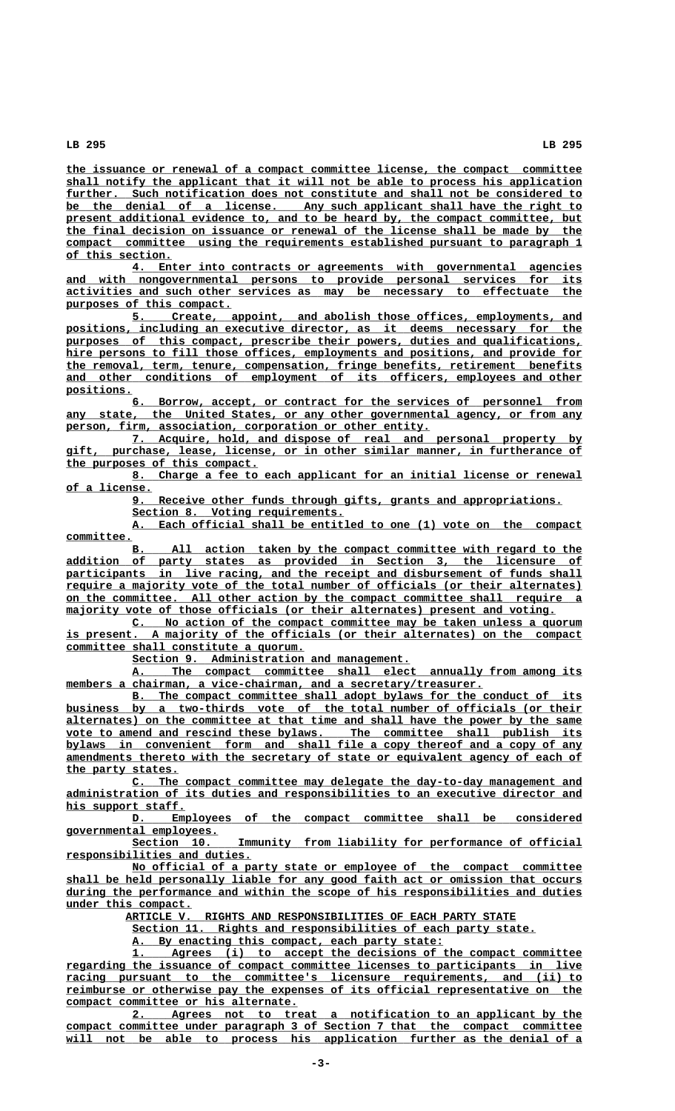**\_\_\_\_\_\_\_\_\_\_\_\_\_\_\_\_\_\_\_\_\_\_\_\_\_\_\_\_\_\_\_\_\_\_\_\_\_\_\_\_\_\_\_\_\_\_\_\_\_\_\_\_\_\_\_\_\_\_\_\_\_\_\_\_\_\_\_\_\_\_\_\_\_\_\_\_\_\_ the issuance or renewal of a compact committee license, the compact committee \_\_\_\_\_\_\_\_\_\_\_\_\_\_\_\_\_\_\_\_\_\_\_\_\_\_\_\_\_\_\_\_\_\_\_\_\_\_\_\_\_\_\_\_\_\_\_\_\_\_\_\_\_\_\_\_\_\_\_\_\_\_\_\_\_\_\_\_\_\_\_\_\_\_\_\_\_\_ shall notify the applicant that it will not be able to process his application \_\_\_\_\_\_\_\_\_\_\_\_\_\_\_\_\_\_\_\_\_\_\_\_\_\_\_\_\_\_\_\_\_\_\_\_\_\_\_\_\_\_\_\_\_\_\_\_\_\_\_\_\_\_\_\_\_\_\_\_\_\_\_\_\_\_\_\_\_\_\_\_\_\_\_\_\_\_ further. Such notification does not constitute and shall not be considered to \_\_\_\_\_\_\_\_\_\_\_\_\_\_\_\_\_\_\_\_\_\_\_\_\_\_\_\_\_\_\_\_\_\_\_\_\_\_\_\_\_\_\_\_\_\_\_\_\_\_\_\_\_\_\_\_\_\_\_\_\_\_\_\_\_\_\_\_\_\_\_\_\_\_\_\_\_\_ be the denial of a license. Any such applicant shall have the right to** present additional evidence to, and to be heard by, the compact committee, but  **\_\_\_\_\_\_\_\_\_\_\_\_\_\_\_\_\_\_\_\_\_\_\_\_\_\_\_\_\_\_\_\_\_\_\_\_\_\_\_\_\_\_\_\_\_\_\_\_\_\_\_\_\_\_\_\_\_\_\_\_\_\_\_\_\_\_\_\_\_\_\_\_\_\_\_\_\_\_ the final decision on issuance or renewal of the license shall be made by the \_\_\_\_\_\_\_\_\_\_\_\_\_\_\_\_\_\_\_\_\_\_\_\_\_\_\_\_\_\_\_\_\_\_\_\_\_\_\_\_\_\_\_\_\_\_\_\_\_\_\_\_\_\_\_\_\_\_\_\_\_\_\_\_\_\_\_\_\_\_\_\_\_\_\_\_\_\_ compact committee using the requirements established pursuant to paragraph 1 \_\_\_\_\_\_\_\_\_\_\_\_\_\_\_\_ of this section.**

 **\_\_\_\_\_\_\_\_\_\_\_\_\_\_\_\_\_\_\_\_\_\_\_\_\_\_\_\_\_\_\_\_\_\_\_\_\_\_\_\_\_\_\_\_\_\_\_\_\_\_\_\_\_\_\_\_\_\_\_\_\_\_\_\_\_\_\_\_ 4. Enter into contracts or agreements with governmental agencies \_\_\_\_\_\_\_\_\_\_\_\_\_\_\_\_\_\_\_\_\_\_\_\_\_\_\_\_\_\_\_\_\_\_\_\_\_\_\_\_\_\_\_\_\_\_\_\_\_\_\_\_\_\_\_\_\_\_\_\_\_\_\_\_\_\_\_\_\_\_\_\_\_\_\_\_\_\_ and with nongovernmental persons to provide personal services for its** activities and such other services as may be necessary to effectuate  **\_\_\_\_\_\_\_\_\_\_\_\_\_\_\_\_\_\_\_\_\_\_\_\_\_ purposes of this compact.**

> **\_\_\_\_\_\_\_\_\_\_\_\_\_\_\_\_\_\_\_\_\_\_\_\_\_\_\_\_\_\_\_\_\_\_\_\_\_\_\_\_\_\_\_\_\_\_\_\_\_\_\_\_\_\_\_\_\_\_\_\_\_\_\_\_\_\_\_\_ 5. Create, appoint, and abolish those offices, employments, and** positions, including an executive director, as it deems necessary for the purposes of this compact, prescribe their powers, duties and qualifications, hire persons to fill those offices, employments and positions, and provide for  **\_\_\_\_\_\_\_\_\_\_\_\_\_\_\_\_\_\_\_\_\_\_\_\_\_\_\_\_\_\_\_\_\_\_\_\_\_\_\_\_\_\_\_\_\_\_\_\_\_\_\_\_\_\_\_\_\_\_\_\_\_\_\_\_\_\_\_\_\_\_\_\_\_\_\_\_\_\_ the removal, term, tenure, compensation, fringe benefits, retirement benefits \_\_\_\_\_\_\_\_\_\_\_\_\_\_\_\_\_\_\_\_\_\_\_\_\_\_\_\_\_\_\_\_\_\_\_\_\_\_\_\_\_\_\_\_\_\_\_\_\_\_\_\_\_\_\_\_\_\_\_\_\_\_\_\_\_\_\_\_\_\_\_\_\_\_\_\_\_\_ and other conditions of employment of its officers, employees and other positions. \_\_\_\_\_\_\_\_\_\_**

> **\_\_\_\_\_\_\_\_\_\_\_\_\_\_\_\_\_\_\_\_\_\_\_\_\_\_\_\_\_\_\_\_\_\_\_\_\_\_\_\_\_\_\_\_\_\_\_\_\_\_\_\_\_\_\_\_\_\_\_\_\_\_\_\_\_\_\_\_ 6. Borrow, accept, or contract for the services of personnel from** any state, the United States, or any other governmental agency, or from any  **\_\_\_\_\_\_\_\_\_\_\_\_\_\_\_\_\_\_\_\_\_\_\_\_\_\_\_\_\_\_\_\_\_\_\_\_\_\_\_\_\_\_\_\_\_\_\_\_\_\_\_\_\_\_\_ person, firm, association, corporation or other entity.**

> **\_\_\_\_\_\_\_\_\_\_\_\_\_\_\_\_\_\_\_\_\_\_\_\_\_\_\_\_\_\_\_\_\_\_\_\_\_\_\_\_\_\_\_\_\_\_\_\_\_\_\_\_\_\_\_\_\_\_\_\_\_\_\_\_\_\_\_\_ 7. Acquire, hold, and dispose of real and personal property by \_\_\_\_\_\_\_\_\_\_\_\_\_\_\_\_\_\_\_\_\_\_\_\_\_\_\_\_\_\_\_\_\_\_\_\_\_\_\_\_\_\_\_\_\_\_\_\_\_\_\_\_\_\_\_\_\_\_\_\_\_\_\_\_\_\_\_\_\_\_\_\_\_\_\_\_\_\_ gift, purchase, lease, license, or in other similar manner, in furtherance of \_\_\_\_\_\_\_\_\_\_\_\_\_\_\_\_\_\_\_\_\_\_\_\_\_\_\_\_\_ the purposes of this compact.**

> **\_\_\_\_\_\_\_\_\_\_\_\_\_\_\_\_\_\_\_\_\_\_\_\_\_\_\_\_\_\_\_\_\_\_\_\_\_\_\_\_\_\_\_\_\_\_\_\_\_\_\_\_\_\_\_\_\_\_\_\_\_\_\_\_\_\_\_\_ 8. Charge a fee to each applicant for an initial license or renewal \_\_\_\_\_\_\_\_\_\_\_\_\_ of a license.**

 **\_\_\_\_\_\_\_\_\_\_\_\_\_\_\_\_\_\_\_\_\_\_\_\_\_\_\_\_\_\_\_\_\_\_\_\_\_\_\_\_\_\_\_\_\_\_\_\_\_\_\_\_\_\_\_\_\_\_\_\_\_\_\_\_\_ 9. Receive other funds through gifts, grants and appropriations.**

Section 8. Voting requirements.

 **\_\_\_\_\_\_\_\_\_\_\_\_\_\_\_\_\_\_\_\_\_\_\_\_\_\_\_\_\_\_\_\_\_\_\_\_\_\_\_\_\_\_\_\_\_\_\_\_\_\_\_\_\_\_\_\_\_\_\_\_\_\_\_\_\_\_\_\_ A. Each official shall be entitled to one (1) vote on the compact committee. \_\_\_\_\_\_\_\_\_\_**

**B.** All action taken by the compact committee with regard to the  **\_\_\_\_\_\_\_\_\_\_\_\_\_\_\_\_\_\_\_\_\_\_\_\_\_\_\_\_\_\_\_\_\_\_\_\_\_\_\_\_\_\_\_\_\_\_\_\_\_\_\_\_\_\_\_\_\_\_\_\_\_\_\_\_\_\_\_\_\_\_\_\_\_\_\_\_\_\_ addition of party states as provided in Section 3, the licensure of** participants in live racing, and the receipt and disbursement of funds shall  **\_\_\_\_\_\_\_\_\_\_\_\_\_\_\_\_\_\_\_\_\_\_\_\_\_\_\_\_\_\_\_\_\_\_\_\_\_\_\_\_\_\_\_\_\_\_\_\_\_\_\_\_\_\_\_\_\_\_\_\_\_\_\_\_\_\_\_\_\_\_\_\_\_\_\_\_\_\_ require a majority vote of the total number of officials (or their alternates) \_\_\_\_\_\_\_\_\_\_\_\_\_\_\_\_\_\_\_\_\_\_\_\_\_\_\_\_\_\_\_\_\_\_\_\_\_\_\_\_\_\_\_\_\_\_\_\_\_\_\_\_\_\_\_\_\_\_\_\_\_\_\_\_\_\_\_\_\_\_\_\_\_\_\_\_\_\_ on the committee. All other action by the compact committee shall require a**  $majority$  vote of those officials (or their alternates) present and voting.</u>

 **\_\_\_\_\_\_\_\_\_\_\_\_\_\_\_\_\_\_\_\_\_\_\_\_\_\_\_\_\_\_\_\_\_\_\_\_\_\_\_\_\_\_\_\_\_\_\_\_\_\_\_\_\_\_\_\_\_\_\_\_\_\_\_\_\_\_\_\_ C. No action of the compact committee may be taken unless a quorum \_\_\_\_\_\_\_\_\_\_\_\_\_\_\_\_\_\_\_\_\_\_\_\_\_\_\_\_\_\_\_\_\_\_\_\_\_\_\_\_\_\_\_\_\_\_\_\_\_\_\_\_\_\_\_\_\_\_\_\_\_\_\_\_\_\_\_\_\_\_\_\_\_\_\_\_\_\_ is present. A majority of the officials (or their alternates) on the compact \_\_\_\_\_\_\_\_\_\_\_\_\_\_\_\_\_\_\_\_\_\_\_\_\_\_\_\_\_\_\_\_\_\_\_\_ committee shall constitute a quorum.**

 **\_\_\_\_\_\_\_\_\_\_\_\_\_\_\_\_\_\_\_\_\_\_\_\_\_\_\_\_\_\_\_\_\_\_\_\_\_\_\_\_\_\_ Section 9. Administration and management.**

The compact committee shall elect annually from among its  $m$ embers a chairman, a vice-chairman, and a secretary/treasurer.

 **\_\_\_\_\_\_\_\_\_\_\_\_\_\_\_\_\_\_\_\_\_\_\_\_\_\_\_\_\_\_\_\_\_\_\_\_\_\_\_\_\_\_\_\_\_\_\_\_\_\_\_\_\_\_\_\_\_\_\_\_\_\_\_\_\_\_\_\_ B. The compact committee shall adopt bylaws for the conduct of its** business by a two-thirds vote of the total number of officials (or their  **\_\_\_\_\_\_\_\_\_\_\_\_\_\_\_\_\_\_\_\_\_\_\_\_\_\_\_\_\_\_\_\_\_\_\_\_\_\_\_\_\_\_\_\_\_\_\_\_\_\_\_\_\_\_\_\_\_\_\_\_\_\_\_\_\_\_\_\_\_\_\_\_\_\_\_\_\_\_ alternates) on the committee at that time and shall have the power by the same** vote to amend and rescind these bylaws. The committee shall publish its bylaws in convenient form and shall file a copy thereof and a copy of any  **\_\_\_\_\_\_\_\_\_\_\_\_\_\_\_\_\_\_\_\_\_\_\_\_\_\_\_\_\_\_\_\_\_\_\_\_\_\_\_\_\_\_\_\_\_\_\_\_\_\_\_\_\_\_\_\_\_\_\_\_\_\_\_\_\_\_\_\_\_\_\_\_\_\_\_\_\_\_ amendments thereto with the secretary of state or equivalent agency of each of \_\_\_\_\_\_\_\_\_\_\_\_\_\_\_\_\_ the party states.**

 **\_\_\_\_\_\_\_\_\_\_\_\_\_\_\_\_\_\_\_\_\_\_\_\_\_\_\_\_\_\_\_\_\_\_\_\_\_\_\_\_\_\_\_\_\_\_\_\_\_\_\_\_\_\_\_\_\_\_\_\_\_\_\_\_\_\_\_\_ C. The compact committee may delegate the day-to-day management and \_\_\_\_\_\_\_\_\_\_\_\_\_\_\_\_\_\_\_\_\_\_\_\_\_\_\_\_\_\_\_\_\_\_\_\_\_\_\_\_\_\_\_\_\_\_\_\_\_\_\_\_\_\_\_\_\_\_\_\_\_\_\_\_\_\_\_\_\_\_\_\_\_\_\_\_\_\_ administration of its duties and responsibilities to an executive director and \_\_\_\_\_\_\_\_\_\_\_\_\_\_\_\_\_\_ his support staff.**

 **\_\_\_\_\_\_\_\_\_\_\_\_\_\_\_\_\_\_\_\_\_\_\_\_\_\_\_\_\_\_\_\_\_\_\_\_\_\_\_\_\_\_\_\_\_\_\_\_\_\_\_\_\_\_\_\_\_\_\_\_\_\_\_\_\_\_\_\_ D. Employees of the compact committee shall be considered governmental employees. \_\_\_\_\_\_\_\_\_\_\_\_\_\_\_\_\_\_\_\_\_\_\_**

 **\_\_\_\_\_\_\_\_\_\_\_\_\_\_\_\_\_\_\_\_\_\_\_\_\_\_\_\_\_\_\_\_\_\_\_\_\_\_\_\_\_\_\_\_\_\_\_\_\_\_\_\_\_\_\_\_\_\_\_\_\_\_\_\_\_\_\_\_ Section 10. Immunity from liability for performance of official \_\_\_\_\_\_\_\_\_\_\_\_\_\_\_\_\_\_\_\_\_\_\_\_\_\_\_\_ responsibilities and duties.**

 **\_\_\_\_\_\_\_\_\_\_\_\_\_\_\_\_\_\_\_\_\_\_\_\_\_\_\_\_\_\_\_\_\_\_\_\_\_\_\_\_\_\_\_\_\_\_\_\_\_\_\_\_\_\_\_\_\_\_\_\_\_\_\_\_\_\_\_\_ No official of a party state or employee of the compact committee \_\_\_\_\_\_\_\_\_\_\_\_\_\_\_\_\_\_\_\_\_\_\_\_\_\_\_\_\_\_\_\_\_\_\_\_\_\_\_\_\_\_\_\_\_\_\_\_\_\_\_\_\_\_\_\_\_\_\_\_\_\_\_\_\_\_\_\_\_\_\_\_\_\_\_\_\_\_ shall be held personally liable for any good faith act or omission that occurs \_\_\_\_\_\_\_\_\_\_\_\_\_\_\_\_\_\_\_\_\_\_\_\_\_\_\_\_\_\_\_\_\_\_\_\_\_\_\_\_\_\_\_\_\_\_\_\_\_\_\_\_\_\_\_\_\_\_\_\_\_\_\_\_\_\_\_\_\_\_\_\_\_\_\_\_\_\_ during the performance and within the scope of his responsibilities and duties \_\_\_\_\_\_\_\_\_\_\_\_\_\_\_\_\_\_\_ under this compact.**

 **\_\_\_\_\_\_\_\_\_\_\_\_\_\_\_\_\_\_\_\_\_\_\_\_\_\_\_\_\_\_\_\_\_\_\_\_\_\_\_\_\_\_\_\_\_\_\_\_\_\_\_\_\_\_\_\_\_\_\_ ARTICLE V. RIGHTS AND RESPONSIBILITIES OF EACH PARTY STATE**

 **\_\_\_\_\_\_\_\_\_\_\_\_\_\_\_\_\_\_\_\_\_\_\_\_\_\_\_\_\_\_\_\_\_\_\_\_\_\_\_\_\_\_\_\_\_\_\_\_\_\_\_\_\_\_\_\_\_\_\_\_\_ Section 11. Rights and responsibilities of each party state.**

 **\_\_\_\_\_\_\_\_\_\_\_\_\_\_\_\_\_\_\_\_\_\_\_\_\_\_\_\_\_\_\_\_\_\_\_\_\_\_\_\_\_\_\_\_\_\_\_ A. By enacting this compact, each party state:**

 **\_\_\_\_\_\_\_\_\_\_\_\_\_\_\_\_\_\_\_\_\_\_\_\_\_\_\_\_\_\_\_\_\_\_\_\_\_\_\_\_\_\_\_\_\_\_\_\_\_\_\_\_\_\_\_\_\_\_\_\_\_\_\_\_\_\_\_\_ 1. Agrees (i) to accept the decisions of the compact committee \_\_\_\_\_\_\_\_\_\_\_\_\_\_\_\_\_\_\_\_\_\_\_\_\_\_\_\_\_\_\_\_\_\_\_\_\_\_\_\_\_\_\_\_\_\_\_\_\_\_\_\_\_\_\_\_\_\_\_\_\_\_\_\_\_\_\_\_\_\_\_\_\_\_\_\_\_\_ regarding the issuance of compact committee licenses to participants in live \_\_\_\_\_\_\_\_\_\_\_\_\_\_\_\_\_\_\_\_\_\_\_\_\_\_\_\_\_\_\_\_\_\_\_\_\_\_\_\_\_\_\_\_\_\_\_\_\_\_\_\_\_\_\_\_\_\_\_\_\_\_\_\_\_\_\_\_\_\_\_\_\_\_\_\_\_\_ racing pursuant to the committee's licensure requirements, and (ii) to \_\_\_\_\_\_\_\_\_\_\_\_\_\_\_\_\_\_\_\_\_\_\_\_\_\_\_\_\_\_\_\_\_\_\_\_\_\_\_\_\_\_\_\_\_\_\_\_\_\_\_\_\_\_\_\_\_\_\_\_\_\_\_\_\_\_\_\_\_\_\_\_\_\_\_\_\_\_ reimburse or otherwise pay the expenses of its official representative on the <u>compact committee or his alternate.</u><br>2. Agrees not to treat** 

 **\_\_\_\_\_\_\_\_\_\_\_\_\_\_\_\_\_\_\_\_\_\_\_\_\_\_\_\_\_\_\_\_\_\_\_\_\_\_\_\_\_\_\_\_\_\_\_\_\_\_\_\_\_\_\_\_\_\_\_\_\_\_\_\_\_\_\_\_ 2. Agrees not to treat a notification to an applicant by the \_\_\_\_\_\_\_\_\_\_\_\_\_\_\_\_\_\_\_\_\_\_\_\_\_\_\_\_\_\_\_\_\_\_\_\_\_\_\_\_\_\_\_\_\_\_\_\_\_\_\_\_\_\_\_\_\_\_\_\_\_\_\_\_\_\_\_\_\_\_\_\_\_\_\_\_\_\_ compact committee under paragraph 3 of Section 7 that the compact committee \_\_\_\_\_\_\_\_\_\_\_\_\_\_\_\_\_\_\_\_\_\_\_\_\_\_\_\_\_\_\_\_\_\_\_\_\_\_\_\_\_\_\_\_\_\_\_\_\_\_\_\_\_\_\_\_\_\_\_\_\_\_\_\_\_\_\_\_\_\_\_\_\_\_\_\_\_\_ will not be able to process his application further as the denial of a**